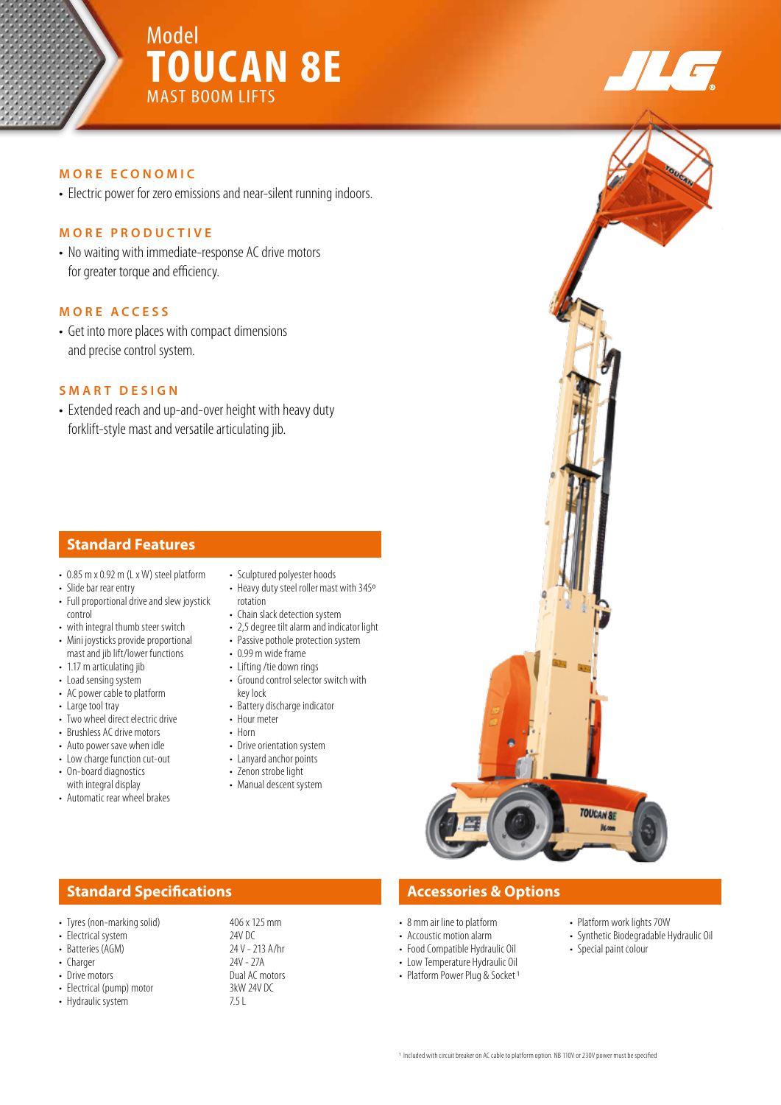

# **MORE ECONOMIC**

• Electric power for zero emissions and near-silent running indoors.

# **MORE PRODUCTIVE**

• No waiting with immediate-response AC drive motors for greater torque and efficiency.

# **MORE ACCESS**

• Get into more places with compact dimensions and precise control system.

## **SMART DESIGN**

• Extended reach and up-and-over height with heavy duty forklift-style mast and versatile articulating jib.

# **Standard Features**

- 0.85 m x 0.92 m (L x W) steel platform
- Slide bar rear entry
- Full proportional drive and slew joystick control
- with integral thumb steer switch • Mini joysticks provide proportional mast and jib lift/lower functions
- 1.17 m articulating jib
- Load sensing system
- AC power cable to platform
- Large tool tray
- Two wheel direct electric drive
- Brushless AC drive motors
- Auto power save when idle
- Low charge function cut-out
- On-board diagnostics with integral display
- Automatic rear wheel brakes
- Sculptured polyester hoods
- Heavy duty steel roller mast with 345º rotation
- Chain slack detection system
- 2,5 degree tilt alarm and indicator light
- Passive pothole protection system • 0.99 m wide frame
- Lifting /tie down rings
- Ground control selector switch with key lock
- Battery discharge indicator
- Hour meter
- Horn
- Drive orientation system
- Lanyard anchor points
- Zenon strobe light
- Manual descent system

# **TOUCAN SE**

# **Standard Specifications Accessories & Options**

- Tyres (non-marking solid) 406 x 125 mm<br>• Electrical system 24V DC
- 
- 
- Charger
- 
- Electrical (pump) motor 3kW<br>• Hydraulic system 7.5 L • Hydraulic system

• Electrical system 24V DC<br>• Batteries (AGM) 24V - 213 A/hr • Batteries (AGM) 24 V - 213<br>• Charger 220 • Drive motors **Dual AC motors**<br>• Flectrical (nump) motor **BUAL 3KW 24V DC** 

- 8 mm air line to platform
- Accoustic motion alarm
- Food Compatible Hydraulic Oil
- Low Temperature Hydraulic Oil
- Platform Power Plug & Socket 1
- Platform work lights 70W
- Synthetic Biodegradable Hydraulic Oil
- Special paint colour